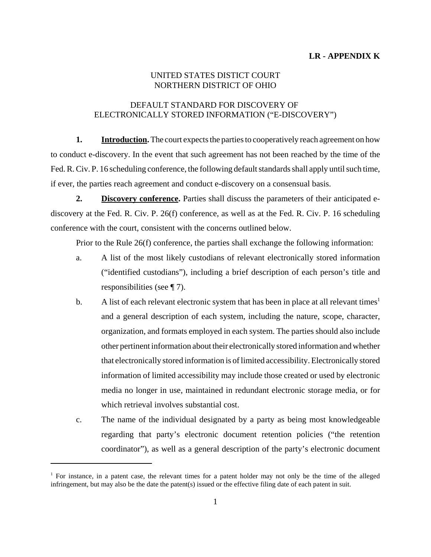## UNITED STATES DISTICT COURT NORTHERN DISTRICT OF OHIO

## DEFAULT STANDARD FOR DISCOVERY OF ELECTRONICALLY STORED INFORMATION ("E-DISCOVERY")

**1.** Introduction. The court expects the parties to cooperatively reach agreement on how to conduct e-discovery. In the event that such agreement has not been reached by the time of the Fed. R. Civ. P. 16 scheduling conference, the following default standards shall apply until such time, if ever, the parties reach agreement and conduct e-discovery on a consensual basis.

**2. Discovery conference.** Parties shall discuss the parameters of their anticipated ediscovery at the Fed. R. Civ. P. 26(f) conference, as well as at the Fed. R. Civ. P. 16 scheduling conference with the court, consistent with the concerns outlined below.

Prior to the Rule 26(f) conference, the parties shall exchange the following information:

- a. A list of the most likely custodians of relevant electronically stored information ("identified custodians"), including a brief description of each person's title and responsibilities (see ¶ 7).
- b. A list of each relevant electronic system that has been in place at all relevant times<sup>1</sup> and a general description of each system, including the nature, scope, character, organization, and formats employed in each system. The parties should also include other pertinent information about their electronically stored information and whether that electronically stored information is of limited accessibility. Electronically stored information of limited accessibility may include those created or used by electronic media no longer in use, maintained in redundant electronic storage media, or for which retrieval involves substantial cost.
- c. The name of the individual designated by a party as being most knowledgeable regarding that party's electronic document retention policies ("the retention coordinator"), as well as a general description of the party's electronic document

<sup>&</sup>lt;sup>1</sup> For instance, in a patent case, the relevant times for a patent holder may not only be the time of the alleged infringement, but may also be the date the patent(s) issued or the effective filing date of each patent in suit.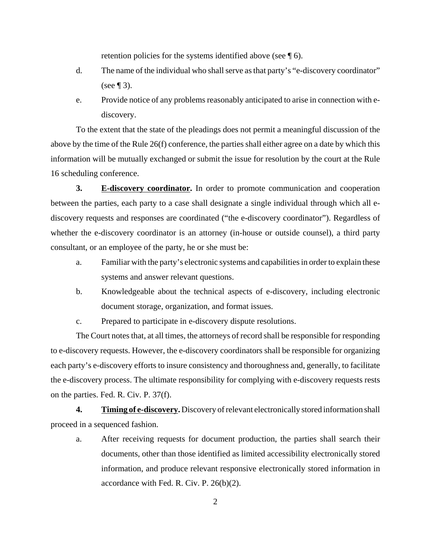retention policies for the systems identified above (see ¶ 6).

- d. The name of the individual who shall serve as that party's "e-discovery coordinator" (see  $\P$  3).
- e. Provide notice of any problems reasonably anticipated to arise in connection with ediscovery.

To the extent that the state of the pleadings does not permit a meaningful discussion of the above by the time of the Rule 26(f) conference, the parties shall either agree on a date by which this information will be mutually exchanged or submit the issue for resolution by the court at the Rule 16 scheduling conference.

**3.** E-discovery coordinator. In order to promote communication and cooperation between the parties, each party to a case shall designate a single individual through which all ediscovery requests and responses are coordinated ("the e-discovery coordinator"). Regardless of whether the e-discovery coordinator is an attorney (in-house or outside counsel), a third party consultant, or an employee of the party, he or she must be:

- a. Familiar with the party's electronic systems and capabilities in order to explain these systems and answer relevant questions.
- b. Knowledgeable about the technical aspects of e-discovery, including electronic document storage, organization, and format issues.
- c. Prepared to participate in e-discovery dispute resolutions.

The Court notes that, at all times, the attorneys of record shall be responsible for responding to e-discovery requests. However, the e-discovery coordinators shall be responsible for organizing each party's e-discovery efforts to insure consistency and thoroughness and, generally, to facilitate the e-discovery process. The ultimate responsibility for complying with e-discovery requests rests on the parties. Fed. R. Civ. P. 37(f).

**4. Timing of e-discovery.** Discovery of relevant electronically stored information shall proceed in a sequenced fashion.

a. After receiving requests for document production, the parties shall search their documents, other than those identified as limited accessibility electronically stored information, and produce relevant responsive electronically stored information in accordance with Fed. R. Civ. P. 26(b)(2).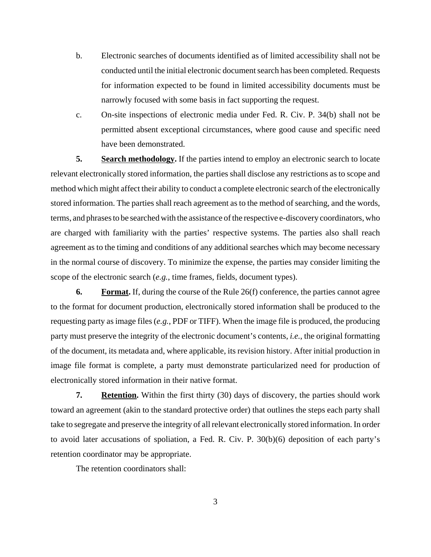- b. Electronic searches of documents identified as of limited accessibility shall not be conducted until the initial electronic document search has been completed. Requests for information expected to be found in limited accessibility documents must be narrowly focused with some basis in fact supporting the request.
- c. On-site inspections of electronic media under Fed. R. Civ. P. 34(b) shall not be permitted absent exceptional circumstances, where good cause and specific need have been demonstrated.

**5. Search methodology.** If the parties intend to employ an electronic search to locate relevant electronically stored information, the parties shall disclose any restrictions as to scope and method which might affect their ability to conduct a complete electronic search of the electronically stored information. The parties shall reach agreement as to the method of searching, and the words, terms, and phrases to be searched with the assistance of the respective e-discovery coordinators, who are charged with familiarity with the parties' respective systems. The parties also shall reach agreement as to the timing and conditions of any additional searches which may become necessary in the normal course of discovery. To minimize the expense, the parties may consider limiting the scope of the electronic search (*e.g.*, time frames, fields, document types).

**6. Format.** If, during the course of the Rule 26(f) conference, the parties cannot agree to the format for document production, electronically stored information shall be produced to the requesting party as image files (*e.g.*, PDF or TIFF). When the image file is produced, the producing party must preserve the integrity of the electronic document's contents, *i.e.*, the original formatting of the document, its metadata and, where applicable, its revision history. After initial production in image file format is complete, a party must demonstrate particularized need for production of electronically stored information in their native format.

**7.** Retention. Within the first thirty (30) days of discovery, the parties should work toward an agreement (akin to the standard protective order) that outlines the steps each party shall take to segregate and preserve the integrity of all relevant electronically stored information. In order to avoid later accusations of spoliation, a Fed. R. Civ. P. 30(b)(6) deposition of each party's retention coordinator may be appropriate.

The retention coordinators shall: